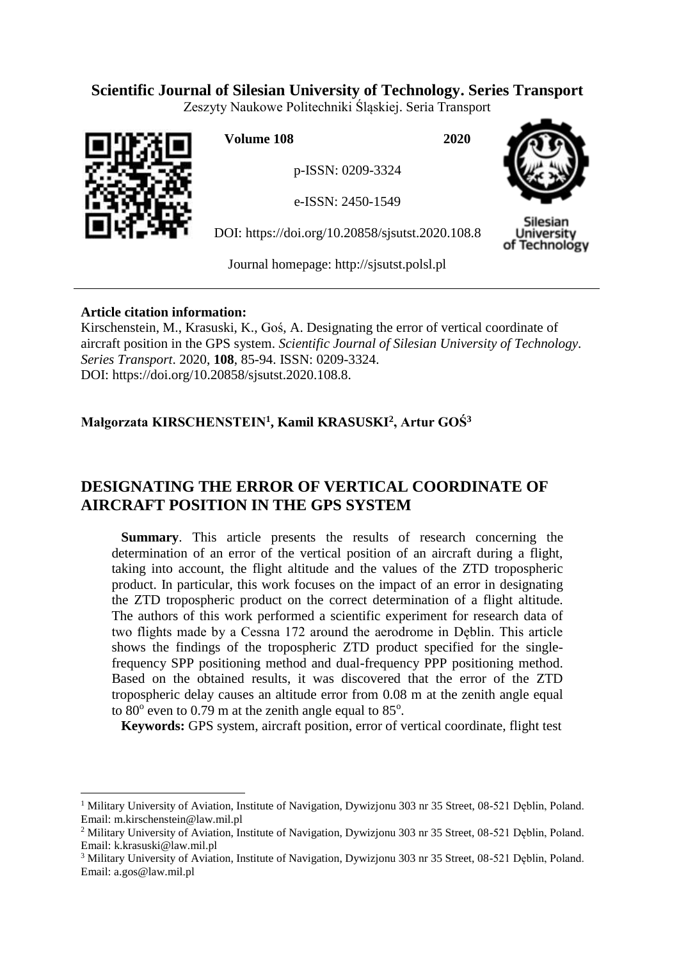## **Scientific Journal of Silesian University of Technology. Series Transport**

Zeszyty Naukowe Politechniki Śląskiej. Seria Transport



 $\overline{a}$ 

**Volume 108 2020**

p-ISSN: 0209-3324

e-ISSN: 2450-1549

DOI: https://doi.org/10.20858/sjsutst.2020.108.8



Silesian Jniversity of Technology

Journal homepage: [http://sjsutst.polsl.pl](http://sjsutst.polsl.pl/)

## **Article citation information:**

Kirschenstein, M., Krasuski, K., Goś, A. Designating the error of vertical coordinate of aircraft position in the GPS system. *Scientific Journal of Silesian University of Technology. Series Transport*. 2020, **108**, 85-94. ISSN: 0209-3324. DOI: https://doi.org/10.20858/sjsutst.2020.108.8.

# **Małgorzata KIRSCHENSTEIN<sup>1</sup> , Kamil KRASUSKI<sup>2</sup> , Artur GOŚ<sup>3</sup>**

# **DESIGNATING THE ERROR OF VERTICAL COORDINATE OF AIRCRAFT POSITION IN THE GPS SYSTEM**

**Summary**. This article presents the results of research concerning the determination of an error of the vertical position of an aircraft during a flight, taking into account, the flight altitude and the values of the ZTD tropospheric product. In particular, this work focuses on the impact of an error in designating the ZTD tropospheric product on the correct determination of a flight altitude. The authors of this work performed a scientific experiment for research data of two flights made by a Cessna 172 around the aerodrome in Dęblin. This article shows the findings of the tropospheric ZTD product specified for the singlefrequency SPP positioning method and dual-frequency PPP positioning method. Based on the obtained results, it was discovered that the error of the ZTD tropospheric delay causes an altitude error from 0.08 m at the zenith angle equal to  $80^\circ$  even to 0.79 m at the zenith angle equal to  $85^\circ$ .

**Keywords:** GPS system, aircraft position, error of vertical coordinate, flight test

<sup>&</sup>lt;sup>1</sup> Military University of Aviation, Institute of Navigation, Dywizjonu 303 nr 35 Street, 08-521 Deblin, Poland. Email: [m.kirschenstein@law.mil.pl](mailto:m.kirschenstein@law.mil.pl)

<sup>&</sup>lt;sup>2</sup> Military University of Aviation, Institute of Navigation, Dywizjonu 303 nr 35 Street, 08-521 Deblin, Poland. Email: [k.krasuski@law.mil.pl](mailto:k.krasuski@law.mil.pl)

<sup>&</sup>lt;sup>3</sup> Military University of Aviation, Institute of Navigation, Dywizjonu 303 nr 35 Street, 08-521 Dęblin, Poland. Email: [a.gos@law.mil.pl](mailto:a.gos@law.mil.pl)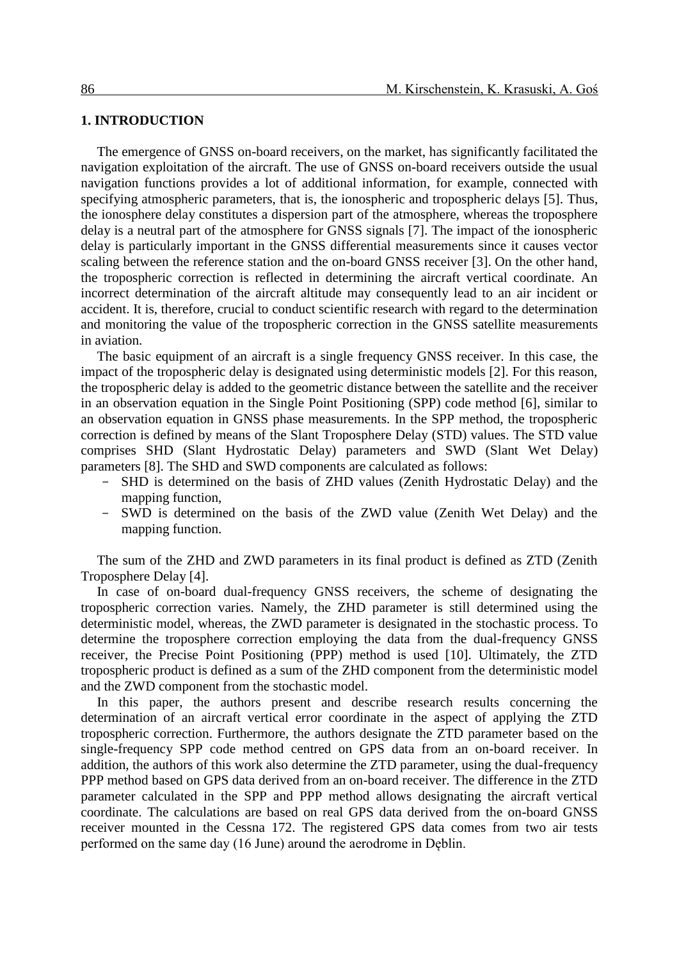#### **1. INTRODUCTION**

The emergence of GNSS on-board receivers, on the market, has significantly facilitated the navigation exploitation of the aircraft. The use of GNSS on-board receivers outside the usual navigation functions provides a lot of additional information, for example, connected with specifying atmospheric parameters, that is, the ionospheric and tropospheric delays [5]. Thus, the ionosphere delay constitutes a dispersion part of the atmosphere, whereas the troposphere delay is a neutral part of the atmosphere for GNSS signals [7]. The impact of the ionospheric delay is particularly important in the GNSS differential measurements since it causes vector scaling between the reference station and the on-board GNSS receiver [3]. On the other hand, the tropospheric correction is reflected in determining the aircraft vertical coordinate. An incorrect determination of the aircraft altitude may consequently lead to an air incident or accident. It is, therefore, crucial to conduct scientific research with regard to the determination and monitoring the value of the tropospheric correction in the GNSS satellite measurements in aviation.

The basic equipment of an aircraft is a single frequency GNSS receiver. In this case, the impact of the tropospheric delay is designated using deterministic models [2]. For this reason, the tropospheric delay is added to the geometric distance between the satellite and the receiver in an observation equation in the Single Point Positioning (SPP) code method [6], similar to an observation equation in GNSS phase measurements. In the SPP method, the tropospheric correction is defined by means of the Slant Troposphere Delay (STD) values. The STD value comprises SHD (Slant Hydrostatic Delay) parameters and SWD (Slant Wet Delay) parameters [8]. The SHD and SWD components are calculated as follows:

- SHD is determined on the basis of ZHD values (Zenith Hydrostatic Delay) and the mapping function,
- SWD is determined on the basis of the ZWD value (Zenith Wet Delay) and the mapping function.

The sum of the ZHD and ZWD parameters in its final product is defined as ZTD (Zenith Troposphere Delay [4].

In case of on-board dual-frequency GNSS receivers, the scheme of designating the tropospheric correction varies. Namely, the ZHD parameter is still determined using the deterministic model, whereas, the ZWD parameter is designated in the stochastic process. To determine the troposphere correction employing the data from the dual-frequency GNSS receiver, the Precise Point Positioning (PPP) method is used [10]. Ultimately, the ZTD tropospheric product is defined as a sum of the ZHD component from the deterministic model and the ZWD component from the stochastic model.

In this paper, the authors present and describe research results concerning the determination of an aircraft vertical error coordinate in the aspect of applying the ZTD tropospheric correction. Furthermore, the authors designate the ZTD parameter based on the single-frequency SPP code method centred on GPS data from an on-board receiver. In addition, the authors of this work also determine the ZTD parameter, using the dual-frequency PPP method based on GPS data derived from an on-board receiver. The difference in the ZTD parameter calculated in the SPP and PPP method allows designating the aircraft vertical coordinate. The calculations are based on real GPS data derived from the on-board GNSS receiver mounted in the Cessna 172. The registered GPS data comes from two air tests performed on the same day (16 June) around the aerodrome in Deblin.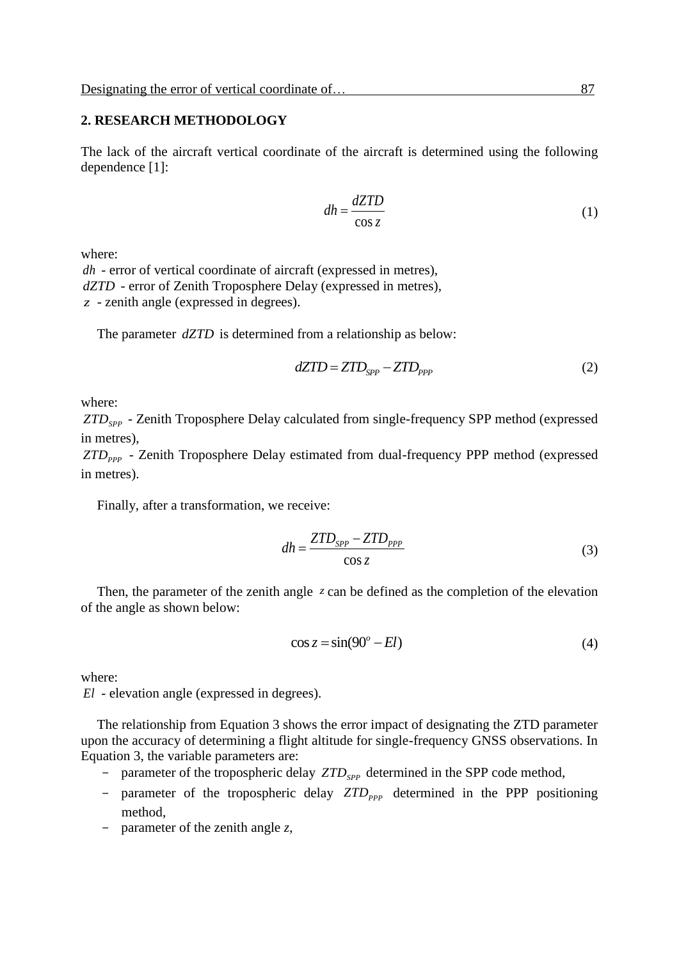### **2. RESEARCH METHODOLOGY**

The lack of the aircraft vertical coordinate of the aircraft is determined using the following dependence [1]:

$$
dh = \frac{dZTD}{\cos z} \tag{1}
$$

where:

*dh* - error of vertical coordinate of aircraft (expressed in metres), *dZTD* - error of Zenith Troposphere Delay (expressed in metres), *z* - zenith angle (expressed in degrees).

The parameter  $dZTD$  is determined from a relationship as below:

$$
dZTD = ZTD_{SPP} - ZTD_{PPP} \tag{2}
$$

where:

*ZTDSPP* - Zenith Troposphere Delay calculated from single-frequency SPP method (expressed in metres),

ZTD<sub>PPP</sub> - Zenith Troposphere Delay estimated from dual-frequency PPP method (expressed in metres).

Finally, after a transformation, we receive:

$$
dh = \frac{ZTD_{SPP} - ZTD_{PPP}}{\cos z}
$$
 (3)

Then, the parameter of the zenith angle z can be defined as the completion of the elevation of the angle as shown below:

$$
\cos z = \sin(90^\circ - El) \tag{4}
$$

where:

*El* - elevation angle (expressed in degrees).

The relationship from Equation 3 shows the error impact of designating the ZTD parameter upon the accuracy of determining a flight altitude for single-frequency GNSS observations. In Equation 3, the variable parameters are:

- parameter of the tropospheric delay  $ZTD_{SPP}$  determined in the SPP code method,
- parameter of the tropospheric delay  $ZTD_{PPP}$  determined in the PPP positioning method,
- parameter of the zenith angle *z*,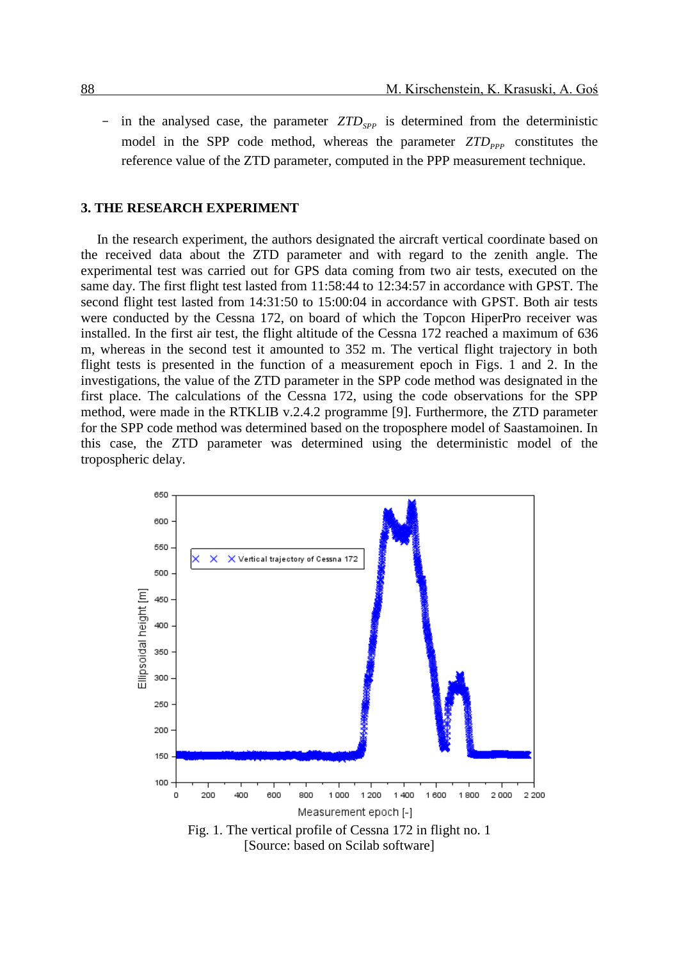- in the analysed case, the parameter  $ZTD_{SPP}$  is determined from the deterministic model in the SPP code method, whereas the parameter  $ZTD_{PPP}$  constitutes the reference value of the ZTD parameter, computed in the PPP measurement technique.

#### **3. THE RESEARCH EXPERIMENT**

In the research experiment, the authors designated the aircraft vertical coordinate based on the received data about the ZTD parameter and with regard to the zenith angle. The experimental test was carried out for GPS data coming from two air tests, executed on the same day. The first flight test lasted from 11:58:44 to 12:34:57 in accordance with GPST. The second flight test lasted from 14:31:50 to 15:00:04 in accordance with GPST. Both air tests were conducted by the Cessna 172, on board of which the Topcon HiperPro receiver was installed. In the first air test, the flight altitude of the Cessna 172 reached a maximum of 636 m, whereas in the second test it amounted to 352 m. The vertical flight trajectory in both flight tests is presented in the function of a measurement epoch in Figs. 1 and 2. In the investigations, the value of the ZTD parameter in the SPP code method was designated in the first place. The calculations of the Cessna 172, using the code observations for the SPP method, were made in the RTKLIB v.2.4.2 programme [9]. Furthermore, the ZTD parameter for the SPP code method was determined based on the troposphere model of Saastamoinen. In this case, the ZTD parameter was determined using the deterministic model of the tropospheric delay.

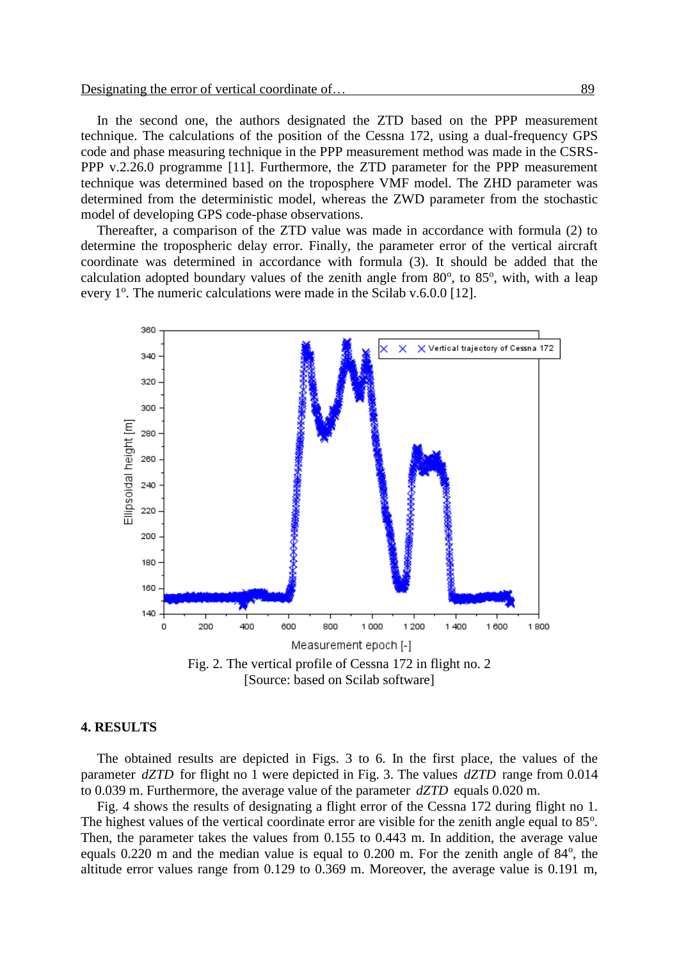In the second one, the authors designated the ZTD based on the PPP measurement technique. The calculations of the position of the Cessna 172, using a dual-frequency GPS code and phase measuring technique in the PPP measurement method was made in the CSRS-PPP v.2.26.0 programme [11]. Furthermore, the ZTD parameter for the PPP measurement technique was determined based on the troposphere VMF model. The ZHD parameter was determined from the deterministic model, whereas the ZWD parameter from the stochastic model of developing GPS code-phase observations.

Thereafter, a comparison of the ZTD value was made in accordance with formula (2) to determine the tropospheric delay error. Finally, the parameter error of the vertical aircraft coordinate was determined in accordance with formula (3). It should be added that the calculation adopted boundary values of the zenith angle from  $80^\circ$ , to  $85^\circ$ , with, with a leap every 1<sup>o</sup>. The numeric calculations were made in the Scilab v.6.0.0 [12].



[Source: based on Scilab software]

#### **4. RESULTS**

The obtained results are depicted in Figs. 3 to 6. In the first place, the values of the parameter *dZTD* for flight no 1 were depicted in Fig. 3. The values *dZTD* range from 0.014 to 0.039 m. Furthermore, the average value of the parameter *dZTD* equals 0.020 m.

Fig. 4 shows the results of designating a flight error of the Cessna 172 during flight no 1. The highest values of the vertical coordinate error are visible for the zenith angle equal to 85°. Then, the parameter takes the values from 0.155 to 0.443 m. In addition, the average value equals  $0.220$  m and the median value is equal to  $0.200$  m. For the zenith angle of  $84^\circ$ , the altitude error values range from 0.129 to 0.369 m. Moreover, the average value is 0.191 m,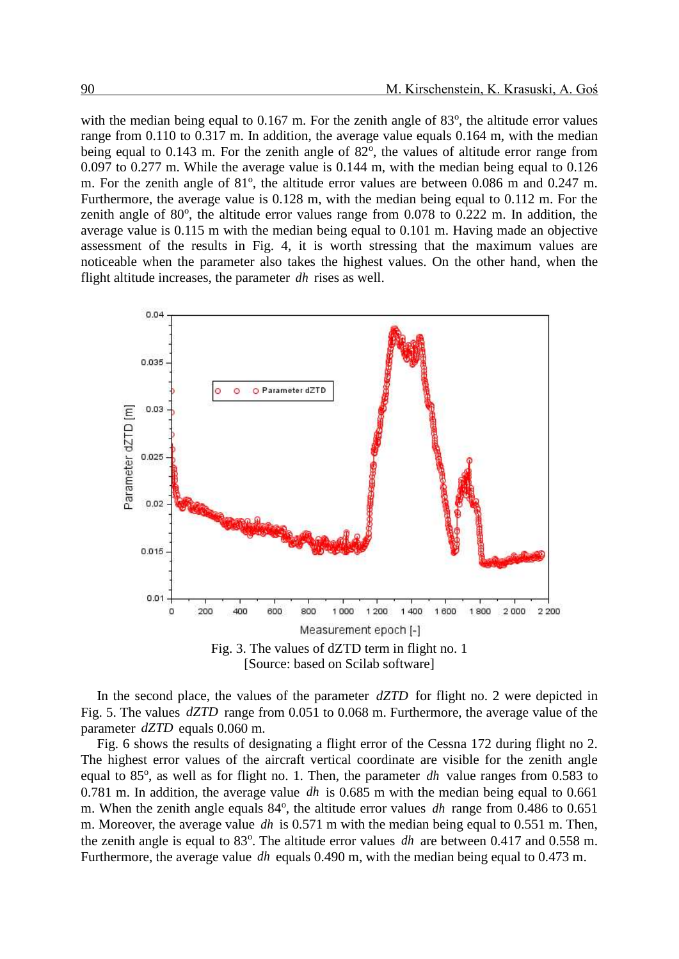with the median being equal to  $0.167$  m. For the zenith angle of  $83^\circ$ , the altitude error values range from 0.110 to 0.317 m. In addition, the average value equals 0.164 m, with the median being equal to 0.143 m. For the zenith angle of 82°, the values of altitude error range from 0.097 to 0.277 m. While the average value is 0.144 m, with the median being equal to 0.126 m. For the zenith angle of  $81^\circ$ , the altitude error values are between 0.086 m and 0.247 m. Furthermore, the average value is 0.128 m, with the median being equal to 0.112 m. For the zenith angle of  $80^\circ$ , the altitude error values range from 0.078 to 0.222 m. In addition, the average value is 0.115 m with the median being equal to 0.101 m. Having made an objective assessment of the results in Fig. 4, it is worth stressing that the maximum values are noticeable when the parameter also takes the highest values. On the other hand, when the flight altitude increases, the parameter *dh* rises as well.



In the second place, the values of the parameter  $dZTD$  for flight no. 2 were depicted in Fig. 5. The values  $dZTD$  range from 0.051 to 0.068 m. Furthermore, the average value of the parameter *dZTD* equals 0.060 m.

Fig. 6 shows the results of designating a flight error of the Cessna 172 during flight no 2. The highest error values of the aircraft vertical coordinate are visible for the zenith angle equal to 85<sup>°</sup>, as well as for flight no. 1. Then, the parameter *dh* value ranges from 0.583 to 0.781 m. In addition, the average value *dh* is 0.685 m with the median being equal to 0.661 m. When the zenith angle equals 84<sup>o</sup>, the altitude error values *dh* range from 0.486 to 0.651 m. Moreover, the average value *dh* is 0.571 m with the median being equal to 0.551 m. Then, the zenith angle is equal to  $83^\circ$ . The altitude error values *dh* are between 0.417 and 0.558 m. Furthermore, the average value *dh* equals 0.490 m, with the median being equal to 0.473 m.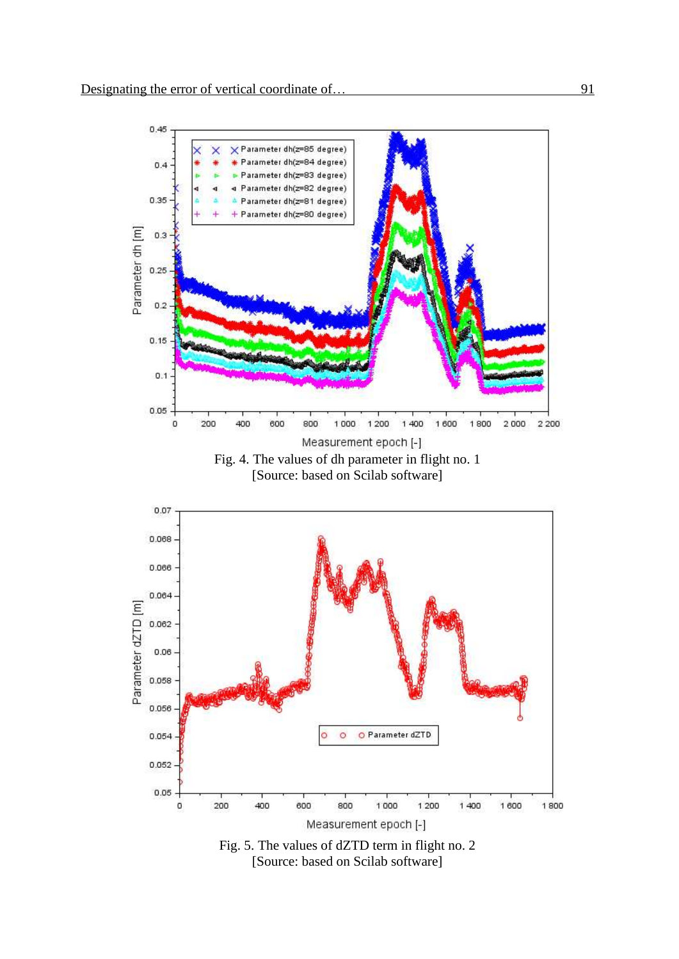

[Source: based on Scilab software]



[Source: based on Scilab software]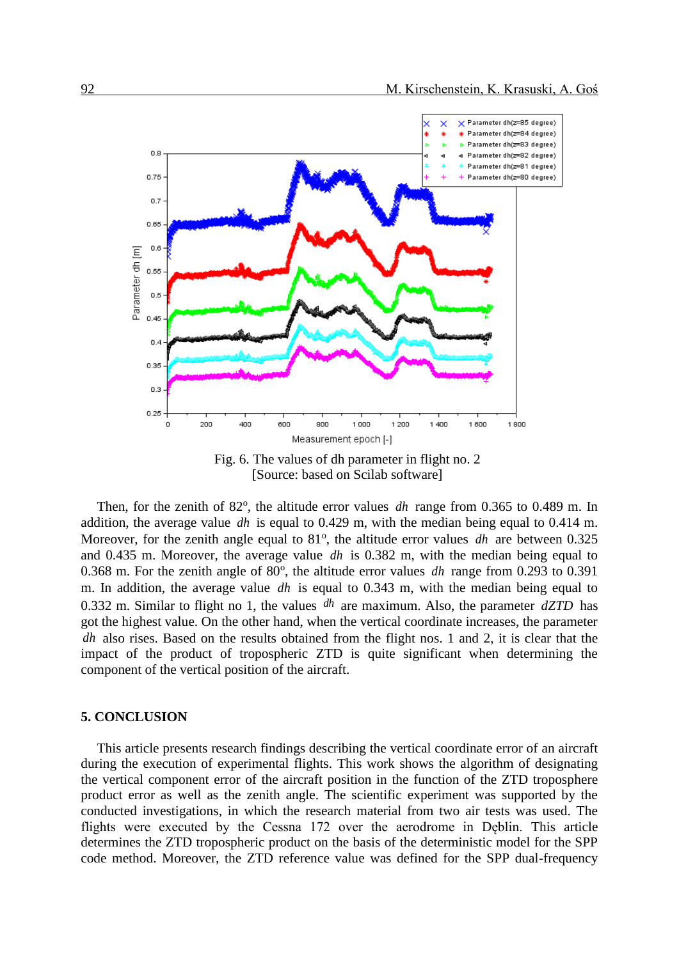

Fig. 6. The values of dh parameter in flight no. 2 [Source: based on Scilab software]

Then, for the zenith of  $82^\circ$ , the altitude error values *dh* range from 0.365 to 0.489 m. In addition, the average value *dh* is equal to 0.429 m, with the median being equal to 0.414 m. Moreover, for the zenith angle equal to 81<sup>°</sup>, the altitude error values *dh* are between 0.325 and 0.435 m. Moreover, the average value *dh* is 0.382 m, with the median being equal to 0.368 m. For the zenith angle of  $80^\circ$ , the altitude error values dh range from 0.293 to 0.391 m. In addition, the average value *dh* is equal to 0.343 m, with the median being equal to 0.332 m. Similar to flight no 1, the values  $dh$  are maximum. Also, the parameter  $dZTD$  has got the highest value. On the other hand, when the vertical coordinate increases, the parameter *dh* also rises. Based on the results obtained from the flight nos. 1 and 2, it is clear that the impact of the product of tropospheric ZTD is quite significant when determining the component of the vertical position of the aircraft.

#### **5. CONCLUSION**

This article presents research findings describing the vertical coordinate error of an aircraft during the execution of experimental flights. This work shows the algorithm of designating the vertical component error of the aircraft position in the function of the ZTD troposphere product error as well as the zenith angle. The scientific experiment was supported by the conducted investigations, in which the research material from two air tests was used. The flights were executed by the Cessna 172 over the aerodrome in Dęblin. This article determines the ZTD tropospheric product on the basis of the deterministic model for the SPP code method. Moreover, the ZTD reference value was defined for the SPP dual-frequency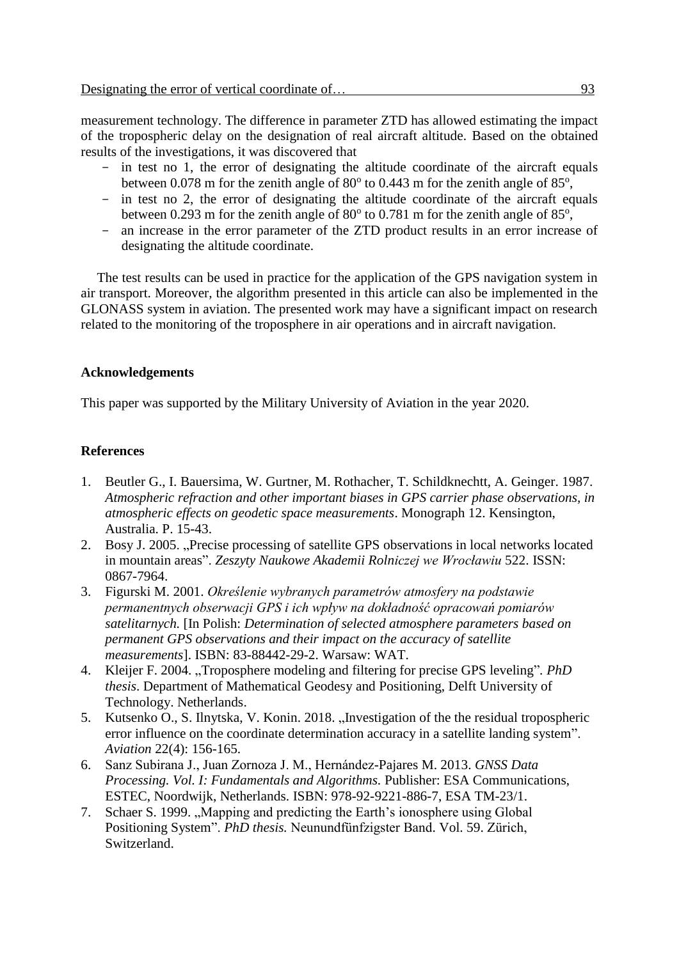measurement technology. The difference in parameter ZTD has allowed estimating the impact of the tropospheric delay on the designation of real aircraft altitude. Based on the obtained results of the investigations, it was discovered that

- in test no 1, the error of designating the altitude coordinate of the aircraft equals between 0.078 m for the zenith angle of  $80^{\circ}$  to 0.443 m for the zenith angle of  $85^{\circ}$ ,
- in test no 2, the error of designating the altitude coordinate of the aircraft equals between 0.293 m for the zenith angle of  $80^{\circ}$  to 0.781 m for the zenith angle of  $85^{\circ}$ ,
- an increase in the error parameter of the ZTD product results in an error increase of designating the altitude coordinate.

The test results can be used in practice for the application of the GPS navigation system in air transport. Moreover, the algorithm presented in this article can also be implemented in the GLONASS system in aviation. The presented work may have a significant impact on research related to the monitoring of the troposphere in air operations and in aircraft navigation.

## **Acknowledgements**

This paper was supported by the Military University of Aviation in the year 2020.

## **References**

- 1. Beutler G., I. Bauersima, W. Gurtner, M. Rothacher, T. Schildknechtt, A. Geinger. 1987. *Atmospheric refraction and other important biases in GPS carrier phase observations, in atmospheric effects on geodetic space measurements*. Monograph 12. Kensington, Australia. P. 15-43.
- 2. Bosy J. 2005. "Precise processing of satellite GPS observations in local networks located in mountain areas". *Zeszyty Naukowe Akademii Rolniczej we Wrocławiu* 522. ISSN: 0867-7964.
- 3. Figurski M. 2001. *Określenie wybranych parametrów atmosfery na podstawie permanentnych obserwacji GPS i ich wpływ na dokładność opracowań pomiarów satelitarnych.* [In Polish: *Determination of selected atmosphere parameters based on permanent GPS observations and their impact on the accuracy of satellite measurements*]. ISBN: 83-88442-29-2. Warsaw: WAT.
- 4. Kleijer F. 2004. "Troposphere modeling and filtering for precise GPS leveling"*. PhD thesis*. Department of Mathematical Geodesy and Positioning, Delft University of Technology. Netherlands.
- 5. Kutsenko O., S. Ilnytska, V. Konin. 2018. "Investigation of the the residual tropospheric error influence on the coordinate determination accuracy in a satellite landing system". *Aviation* 22(4): 156-165.
- 6. Sanz Subirana J., Juan Zornoza J. M., Hernández-Pajares M. 2013. *GNSS Data Processing. Vol. I: Fundamentals and Algorithms.* Publisher: ESA Communications, ESTEC, Noordwijk, Netherlands. ISBN: 978-92-9221-886-7, ESA TM-23/1.
- 7. Schaer S. 1999. "Mapping and predicting the Earth's ionosphere using Global Positioning System". *PhD thesis.* Neunundfünfzigster Band. Vol. 59. Zürich, Switzerland.